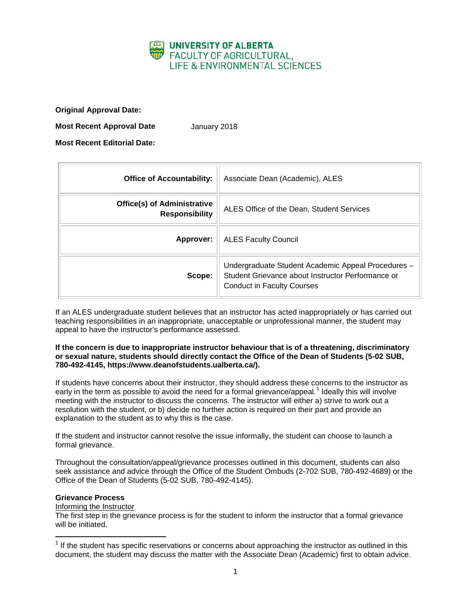

**Original Approval Date:**

**Most Recent Approval Date** January 2018

**Most Recent Editorial Date:**

| <b>Office of Accountability:</b>                            | Associate Dean (Academic), ALES                                                                                                              |
|-------------------------------------------------------------|----------------------------------------------------------------------------------------------------------------------------------------------|
| <b>Office(s) of Administrative</b><br><b>Responsibility</b> | ALES Office of the Dean, Student Services                                                                                                    |
| Approver:                                                   | <b>ALES Faculty Council</b>                                                                                                                  |
| Scope:                                                      | Undergraduate Student Academic Appeal Procedures -<br>Student Grievance about Instructor Performance or<br><b>Conduct in Faculty Courses</b> |

If an ALES undergraduate student believes that an instructor has acted inappropriately or has carried out teaching responsibilities in an inappropriate, unacceptable or unprofessional manner, the student may appeal to have the instructor's performance assessed.

## **If the concern is due to inappropriate instructor behaviour that is of a threatening, discriminatory or sexual nature, students should directly contact the Office of the Dean of Students (5-02 SUB, 780-492-4145, https://www.deanofstudents.ualberta.ca/).**

If students have concerns about their instructor, they should address these concerns to the instructor as early in the term as possible to avoid the need for a formal grievance/appeal.<sup>[1](#page-0-0)</sup> Ideally this will involve meeting with the instructor to discuss the concerns. The instructor will either a) strive to work out a resolution with the student, or b) decide no further action is required on their part and provide an explanation to the student as to why this is the case.

If the student and instructor cannot resolve the issue informally, the student can choose to launch a formal grievance.

Throughout the consultation/appeal/grievance processes outlined in this document, students can also seek assistance and advice through the Office of the Student Ombuds (2-702 SUB, 780-492-4689) or the Office of the Dean of Students (5-02 SUB, 780-492-4145).

## **Grievance Process**

Informing the Instructor

The first step in the grievance process is for the student to inform the instructor that a formal grievance will be initiated.

<span id="page-0-0"></span> $1$  If the student has specific reservations or concerns about approaching the instructor as outlined in this document, the student may discuss the matter with the Associate Dean (Academic) first to obtain advice.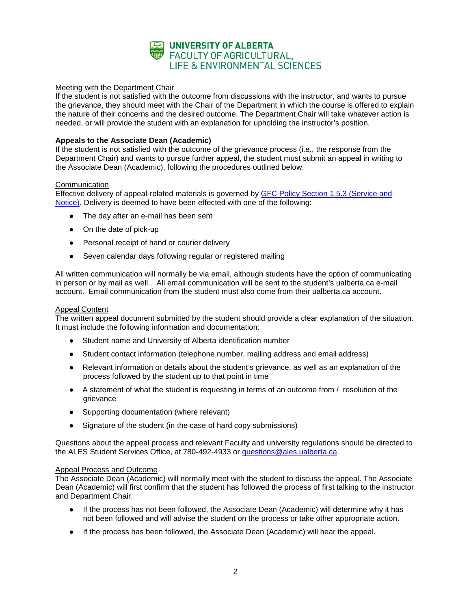

# Meeting with the Department Chair

If the student is not satisfied with the outcome from discussions with the instructor, and wants to pursue the grievance, they should meet with the Chair of the Department in which the course is offered to explain the nature of their concerns and the desired outcome. The Department Chair will take whatever action is needed, or will provide the student with an explanation for upholding the instructor's position.

# **Appeals to the Associate Dean (Academic)**

If the student is not satisfied with the outcome of the grievance process (i.e., the response from the Department Chair) and wants to pursue further appeal, the student must submit an appeal in writing to the Associate Dean (Academic), following the procedures outlined below.

## **Communication**

Effective delivery of appeal-related materials is governed by GFC Policy Section 1.5.3 (Service and [Notice\).](http://www.governance.ualberta.ca/StudentAppeals/AcademicAppealsPolicy/15AppealProcedures/153ServiceandNotice.aspx) Delivery is deemed to have been effected with one of the following:

- The day after an e-mail has been sent
- On the date of pick-up
- Personal receipt of hand or courier delivery
- Seven calendar days following regular or registered mailing

All written communication will normally be via email, although students have the option of communicating in person or by mail as well.. All email communication will be sent to the student's ualberta.ca e-mail account. Email communication from the student must also come from their ualberta.ca account.

## Appeal Content

The written appeal document submitted by the student should provide a clear explanation of the situation. It must include the following information and documentation:

- Student name and University of Alberta identification number
- Student contact information (telephone number, mailing address and email address)
- Relevant information or details about the student's grievance, as well as an explanation of the process followed by the student up to that point in time
- A statement of what the student is requesting in terms of an outcome from / resolution of the grievance
- Supporting documentation (where relevant)
- Signature of the student (in the case of hard copy submissions)

Questions about the appeal process and relevant Faculty and university regulations should be directed to the ALES Student Services Office, at 780-492-4933 or *questions@ales.ualberta.ca.* 

### Appeal Process and Outcome

The Associate Dean (Academic) will normally meet with the student to discuss the appeal. The Associate Dean (Academic) will first confirm that the student has followed the process of first talking to the instructor and Department Chair.

- If the process has not been followed, the Associate Dean (Academic) will determine why it has not been followed and will advise the student on the process or take other appropriate action.
- If the process has been followed, the Associate Dean (Academic) will hear the appeal.